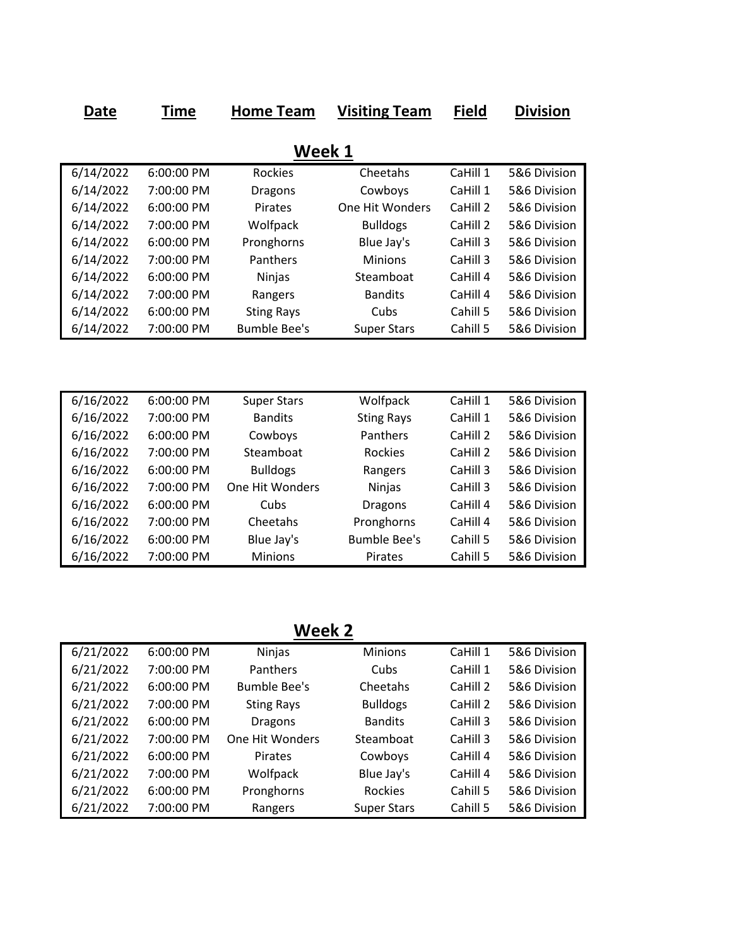| Date      | <b>Time</b> | <b>Home Team</b>    | <b>Visiting Team</b> | <b>Field</b> | <b>Division</b> |  |  |  |  |
|-----------|-------------|---------------------|----------------------|--------------|-----------------|--|--|--|--|
|           |             |                     |                      |              |                 |  |  |  |  |
| Week 1    |             |                     |                      |              |                 |  |  |  |  |
| 6/14/2022 | 6:00:00 PM  | <b>Rockies</b>      | Cheetahs             | CaHill 1     | 5&6 Division    |  |  |  |  |
| 6/14/2022 | 7:00:00 PM  | <b>Dragons</b>      | Cowboys              | CaHill 1     | 5&6 Division    |  |  |  |  |
| 6/14/2022 | 6:00:00 PM  | Pirates             | One Hit Wonders      | CaHill 2     | 5&6 Division    |  |  |  |  |
| 6/14/2022 | 7:00:00 PM  | Wolfpack            | <b>Bulldogs</b>      | CaHill 2     | 5&6 Division    |  |  |  |  |
| 6/14/2022 | 6:00:00 PM  | Pronghorns          | Blue Jay's           | CaHill 3     | 5&6 Division    |  |  |  |  |
| 6/14/2022 | 7:00:00 PM  | Panthers            | <b>Minions</b>       | CaHill 3     | 5&6 Division    |  |  |  |  |
| 6/14/2022 | 6:00:00 PM  | Ninjas              | Steamboat            | CaHill 4     | 5&6 Division    |  |  |  |  |
| 6/14/2022 | 7:00:00 PM  | Rangers             | <b>Bandits</b>       | CaHill 4     | 5&6 Division    |  |  |  |  |
| 6/14/2022 | 6:00:00 PM  | <b>Sting Rays</b>   | Cubs                 | Cahill 5     | 5&6 Division    |  |  |  |  |
| 6/14/2022 | 7:00:00 PM  | <b>Bumble Bee's</b> | <b>Super Stars</b>   | Cahill 5     | 5&6 Division    |  |  |  |  |
|           |             |                     |                      |              |                 |  |  |  |  |
|           |             |                     |                      |              |                 |  |  |  |  |
|           |             |                     |                      |              |                 |  |  |  |  |
| 6/16/2022 | 6:00:00 PM  | <b>Super Stars</b>  | Wolfpack             | CaHill 1     | 5&6 Division    |  |  |  |  |
| 6/16/2022 | 7:00:00 PM  | <b>Bandits</b>      | <b>Sting Rays</b>    | CaHill 1     | 5&6 Division    |  |  |  |  |
| 6/16/2022 | 6:00:00 PM  | Cowboys             | Panthers             | CaHill 2     | 5&6 Division    |  |  |  |  |
| 6/16/2022 | 7:00:00 PM  | Steamboat           | Rockies              | CaHill 2     | 5&6 Division    |  |  |  |  |
| 6/16/2022 | 6:00:00 PM  | <b>Bulldogs</b>     | Rangers              | CaHill 3     | 5&6 Division    |  |  |  |  |
| 6/16/2022 | 7:00:00 PM  | One Hit Wonders     | Ninjas               | CaHill 3     | 5&6 Division    |  |  |  |  |
| 6/16/2022 | 6:00:00 PM  | Cubs                | <b>Dragons</b>       | CaHill 4     | 5&6 Division    |  |  |  |  |
| 6/16/2022 | 7:00:00 PM  | Cheetahs            | Pronghorns           | CaHill 4     | 5&6 Division    |  |  |  |  |
| 6/16/2022 | 6:00:00 PM  | Blue Jay's          | <b>Bumble Bee's</b>  | Cahill 5     | 5&6 Division    |  |  |  |  |
| 6/16/2022 | 7:00:00 PM  | Minions             | Pirates              | Cahill 5     | 5&6 Division    |  |  |  |  |

**Week 2**

| 6/21/2022 | 6:00:00 PM   | <b>Ninjas</b>       | <b>Minions</b>     | CaHill 1 | 5&6 Division |
|-----------|--------------|---------------------|--------------------|----------|--------------|
| 6/21/2022 | 7:00:00 PM   | Panthers            | Cubs               | CaHill 1 | 5&6 Division |
| 6/21/2022 | $6:00:00$ PM | <b>Bumble Bee's</b> | Cheetahs           | CaHill 2 | 5&6 Division |
| 6/21/2022 | 7:00:00 PM   | <b>Sting Rays</b>   | <b>Bulldogs</b>    | CaHill 2 | 5&6 Division |
| 6/21/2022 | 6:00:00 PM   | <b>Dragons</b>      | <b>Bandits</b>     | CaHill 3 | 5&6 Division |
| 6/21/2022 | 7:00:00 PM   | One Hit Wonders     | Steamboat          | CaHill 3 | 5&6 Division |
| 6/21/2022 | 6:00:00 PM   | <b>Pirates</b>      | Cowboys            | CaHill 4 | 5&6 Division |
| 6/21/2022 | 7:00:00 PM   | Wolfpack            | Blue Jay's         | CaHill 4 | 5&6 Division |
| 6/21/2022 | 6:00:00 PM   | Pronghorns          | <b>Rockies</b>     | Cahill 5 | 5&6 Division |
| 6/21/2022 | 7:00:00 PM   | Rangers             | <b>Super Stars</b> | Cahill 5 | 5&6 Division |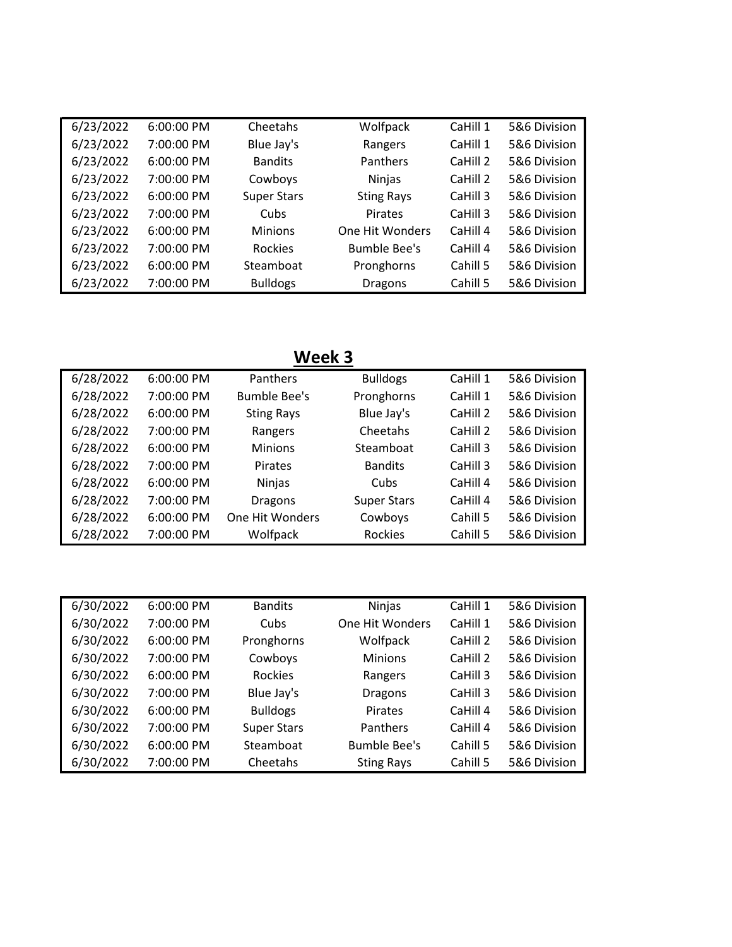| 6/23/2022 | 6:00:00 PM | Cheetahs           | Wolfpack            | CaHill 1 | 5&6 Division |
|-----------|------------|--------------------|---------------------|----------|--------------|
| 6/23/2022 | 7:00:00 PM | Blue Jay's         | Rangers             | CaHill 1 | 5&6 Division |
| 6/23/2022 | 6:00:00 PM | <b>Bandits</b>     | Panthers            | CaHill 2 | 5&6 Division |
| 6/23/2022 | 7:00:00 PM | Cowboys            | Ninjas              | CaHill 2 | 5&6 Division |
| 6/23/2022 | 6:00:00 PM | <b>Super Stars</b> | <b>Sting Rays</b>   | CaHill 3 | 5&6 Division |
| 6/23/2022 | 7:00:00 PM | Cubs               | Pirates             | CaHill 3 | 5&6 Division |
| 6/23/2022 | 6:00:00 PM | <b>Minions</b>     | One Hit Wonders     | CaHill 4 | 5&6 Division |
| 6/23/2022 | 7:00:00 PM | <b>Rockies</b>     | <b>Bumble Bee's</b> | CaHill 4 | 5&6 Division |
| 6/23/2022 | 6:00:00 PM | Steamboat          | Pronghorns          | Cahill 5 | 5&6 Division |
| 6/23/2022 | 7:00:00 PM | <b>Bulldogs</b>    | <b>Dragons</b>      | Cahill 5 | 5&6 Division |

## **Week 3**

| 6/28/2022 | 6:00:00 PM | Panthers            | <b>Bulldogs</b>    | CaHill 1 | 5&6 Division |
|-----------|------------|---------------------|--------------------|----------|--------------|
| 6/28/2022 | 7:00:00 PM | <b>Bumble Bee's</b> | Pronghorns         | CaHill 1 | 5&6 Division |
| 6/28/2022 | 6:00:00 PM | <b>Sting Rays</b>   | Blue Jay's         | CaHill 2 | 5&6 Division |
| 6/28/2022 | 7:00:00 PM | Rangers             | Cheetahs           | CaHill 2 | 5&6 Division |
| 6/28/2022 | 6:00:00 PM | <b>Minions</b>      | Steamboat          | CaHill 3 | 5&6 Division |
| 6/28/2022 | 7:00:00 PM | Pirates             | <b>Bandits</b>     | CaHill 3 | 5&6 Division |
| 6/28/2022 | 6:00:00 PM | Ninjas              | Cubs               | CaHill 4 | 5&6 Division |
| 6/28/2022 | 7:00:00 PM | <b>Dragons</b>      | <b>Super Stars</b> | CaHill 4 | 5&6 Division |
| 6/28/2022 | 6:00:00 PM | One Hit Wonders     | Cowboys            | Cahill 5 | 5&6 Division |
| 6/28/2022 | 7:00:00 PM | Wolfpack            | Rockies            | Cahill 5 | 5&6 Division |

| 6/30/2022 | 6:00:00 PM   | <b>Bandits</b>     | Ninjas              | CaHill 1 | 5&6 Division |
|-----------|--------------|--------------------|---------------------|----------|--------------|
| 6/30/2022 | 7:00:00 PM   | Cubs               | One Hit Wonders     | CaHill 1 | 5&6 Division |
| 6/30/2022 | 6:00:00 PM   | Pronghorns         | Wolfpack            | CaHill 2 | 5&6 Division |
| 6/30/2022 | 7:00:00 PM   | Cowboys            | <b>Minions</b>      | CaHill 2 | 5&6 Division |
| 6/30/2022 | $6:00:00$ PM | <b>Rockies</b>     | Rangers             | CaHill 3 | 5&6 Division |
| 6/30/2022 | 7:00:00 PM   | Blue Jay's         | <b>Dragons</b>      | CaHill 3 | 5&6 Division |
| 6/30/2022 | 6:00:00 PM   | <b>Bulldogs</b>    | Pirates             | CaHill 4 | 5&6 Division |
| 6/30/2022 | 7:00:00 PM   | <b>Super Stars</b> | Panthers            | CaHill 4 | 5&6 Division |
| 6/30/2022 | $6:00:00$ PM | Steamboat          | <b>Bumble Bee's</b> | Cahill 5 | 5&6 Division |
| 6/30/2022 | 7:00:00 PM   | Cheetahs           | <b>Sting Rays</b>   | Cahill 5 | 5&6 Division |